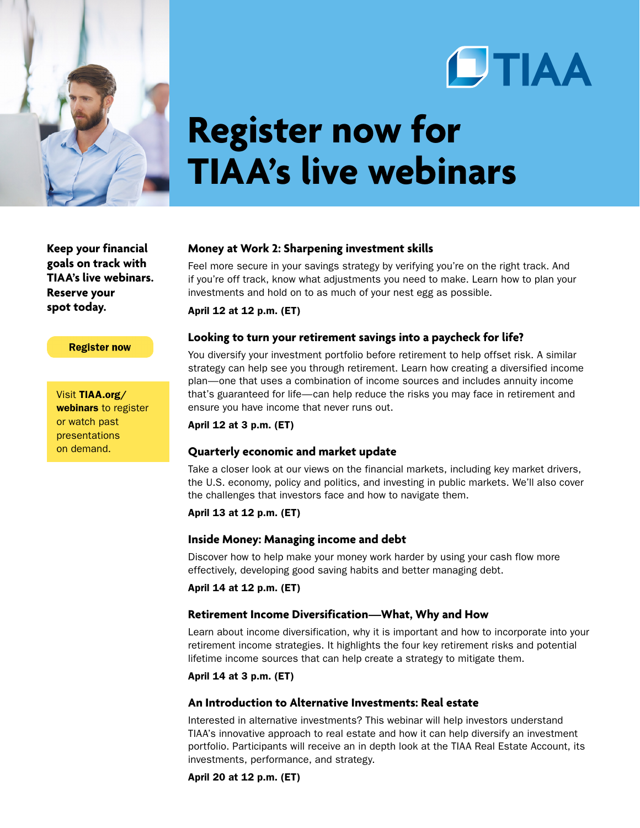



# **Register now for TIAA's live webinars**

**Keep your financial goals on track with TIAA's live webinars. Reserve your spot today.**

### **Register now**

Visit [TIAA.org/](http://www.tiaa.org/webinars) [webinars](http://www.tiaa.org/webinars) to register or watch past presentations on demand.

## **Money at Work 2: Sharpening investment skills**

Feel more secure in your savings strategy by verifying you're on the right track. And if you're off track, know what adjustments you need to make. Learn how to plan your investments and hold on to as much of your nest egg as possible.

April 12 at 12 p.m. (ET)

## **Looking to turn your retirement savings into a paycheck for life?**

You diversify your investment portfolio before retirement to help offset risk. A similar strategy can help see you through retirement. Learn how creating a diversified income plan—one that uses a combination of income sources and includes annuity income that's guaranteed for life—can help reduce the risks you may face in retirement and ensure you have income that never runs out.

April 12 at 3 p.m. (ET)

## **Quarterly economic and market update**

Take a closer look at our views on the financial markets, including key market drivers, the U.S. economy, policy and politics, and investing in public markets. We'll also cover the challenges that investors face and how to navigate them.

### April 13 at 12 p.m. (ET)

### **Inside Money: Managing income and debt**

Discover how to help make your money work harder by using your cash flow more effectively, developing good saving habits and better managing debt.

April 14 at 12 p.m. (ET)

## **Retirement Income Diversification—What, Why and How**

Learn about income diversification, why it is important and how to incorporate into your retirement income strategies. It highlights the four key retirement risks and potential lifetime income sources that can help create a strategy to mitigate them.

April 14 at 3 p.m. (ET)

## **An Introduction to Alternative Investments: Real estate**

Interested in alternative investments? This webinar will help investors understand TIAA's innovative approach to real estate and how it can help diversify an investment portfolio. Participants will receive an in depth look at the TIAA Real Estate Account, its investments, performance, and strategy.

April 20 at 12 p.m. (ET)